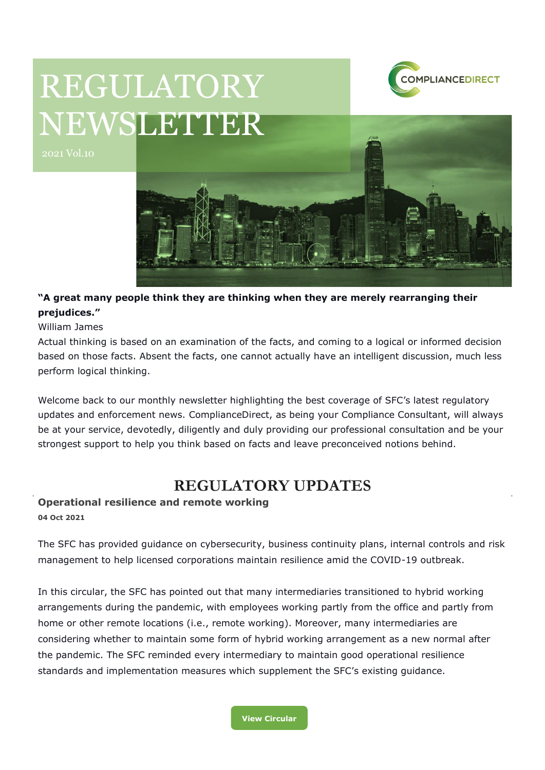

# REGULATORY NEWSLETTER



# **"A great many people think they are thinking when they are merely rearranging their prejudices."**

William James

Actual thinking is based on an examination of the facts, and coming to a logical or informed decision based on those facts. Absent the facts, one cannot actually have an intelligent discussion, much less perform logical thinking.

Welcome back to our monthly newsletter highlighting the best coverage of SFC's latest regulatory updates and enforcement news. ComplianceDirect, as being your Compliance Consultant, will always be at your service, devotedly, diligently and duly providing our professional consultation and be your strongest support to help you think based on facts and leave preconceived notions behind.

# **REGULATORY UPDATES**

# **Operational resilience and remote working 04 Oct 2021**

The SFC has provided guidance on cybersecurity, business continuity plans, internal controls and risk management to help licensed corporations maintain resilience amid the COVID-19 outbreak.

In this circular, the SFC has pointed out that many intermediaries transitioned to hybrid working arrangements during the pandemic, with employees working partly from the office and partly from home or other remote locations (i.e., remote working). Moreover, many intermediaries are considering whether to maintain some form of hybrid working arrangement as a new normal after the pandemic. The SFC reminded every intermediary to maintain good operational resilience standards and implementation measures which supplement the SFC's existing guidance.

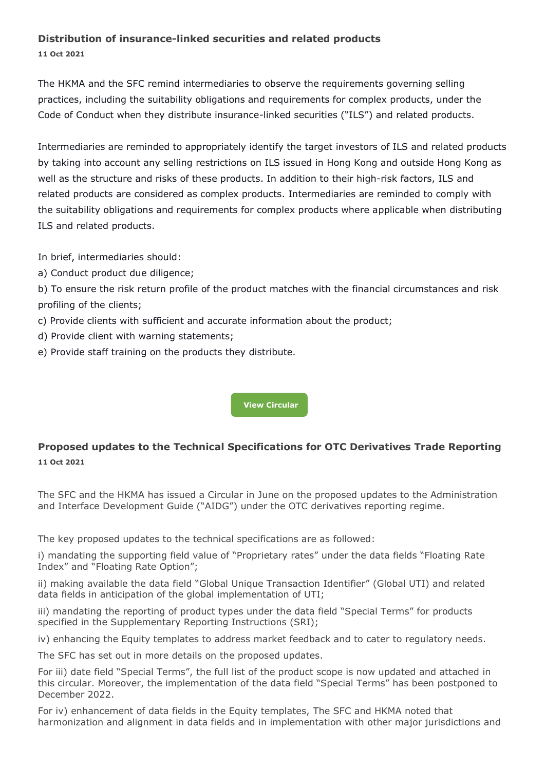# **Distribution of insurance-linked securities and related products**

**11 Oct 2021**

The HKMA and the SFC remind intermediaries to observe the requirements governing selling practices, including the suitability obligations and requirements for complex products, under the Code of Conduct when they distribute insurance-linked securities ("ILS") and related products.

Intermediaries are reminded to appropriately identify the target investors of ILS and related products by taking into account any selling restrictions on ILS issued in Hong Kong and outside Hong Kong as well as the structure and risks of these products. In addition to their high-risk factors, ILS and related products are considered as complex products. Intermediaries are reminded to comply with the suitability obligations and requirements for complex products where applicable when distributing ILS and related products.

In brief, intermediaries should:

a) Conduct product due diligence;

b) To ensure the risk return profile of the product matches with the financial circumstances and risk profiling of the clients;

- c) Provide clients with sufficient and accurate information about the product;
- d) Provide client with warning statements;
- e) Provide staff training on the products they distribute.

**[View Circular](https://apps.sfc.hk/edistributionWeb/gateway/EN/circular/suitability/doc?refNo=21EC42)**

# **Proposed updates to the Technical Specifications for OTC Derivatives Trade Reporting 11 Oct 2021**

The SFC and the HKMA has issued a Circular in June on the proposed updates to the Administration and Interface Development Guide ("AIDG") under the OTC derivatives reporting regime.

The key proposed updates to the technical specifications are as followed:

i) mandating the supporting field value of "Proprietary rates" under the data fields "Floating Rate Index" and "Floating Rate Option";

ii) making available the data field "Global Unique Transaction Identifier" (Global UTI) and related data fields in anticipation of the global implementation of UTI;

iii) mandating the reporting of product types under the data field "Special Terms" for products specified in the Supplementary Reporting Instructions (SRI);

iv) enhancing the Equity templates to address market feedback and to cater to regulatory needs.

The SFC has set out in more details on the proposed updates.

For iii) date field "Special Terms", the full list of the product scope is now updated and attached in this circular. Moreover, the implementation of the data field "Special Terms" has been postponed to December 2022.

For iv) enhancement of data fields in the Equity templates, The SFC and HKMA noted that harmonization and alignment in data fields and in implementation with other major jurisdictions and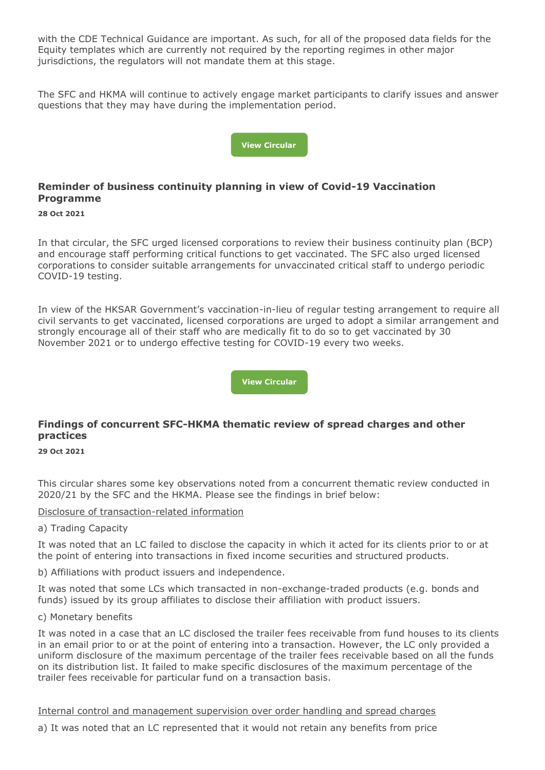with the CDE Technical Guidance are important. As such, for all of the proposed data fields for the Equity templates which are currently not required by the reporting regimes in other major jurisdictions, the regulators will not mandate them at this stage.

The SFC and HKMA will continue to actively engage market participants to clarify issues and answer questions that they may have during the implementation period.



# **Reminder of business continuity planning in view of Covid-19 Vaccination Programme**

#### **28 Oct 2021**

In that circular, the SFC urged licensed corporations to review their business continuity plan (BCP) and encourage staff performing critical functions to get vaccinated. The SFC also urged licensed corporations to consider suitable arrangements for unvaccinated critical staff to undergo periodic COVID-19 testing.

In view of the HKSAR Government's vaccination-in-lieu of regular testing arrangement to require all civil servants to get vaccinated, licensed corporations are urged to adopt a similar arrangement and strongly encourage all of their staff who are medically fit to do so to get vaccinated by 30 November 2021 or to undergo effective testing for COVID-19 every two weeks.

**[View Circular](https://apps.sfc.hk/edistributionWeb/gateway/EN/circular/intermediaries/supervision/doc?refNo=21EC45)**

### **Findings of concurrent SFC-HKMA thematic review of spread charges and other practices**

#### **29 Oct 2021**

This circular shares some key observations noted from a concurrent thematic review conducted in 2020/21 by the SFC and the HKMA. Please see the findings in brief below:

#### Disclosure of transaction-related information

#### a) Trading Capacity

It was noted that an LC failed to disclose the capacity in which it acted for its clients prior to or at the point of entering into transactions in fixed income securities and structured products.

b) Affiliations with product issuers and independence.

It was noted that some LCs which transacted in non-exchange-traded products (e.g. bonds and funds) issued by its group affiliates to disclose their affiliation with product issuers.

#### c) Monetary benefits

It was noted in a case that an LC disclosed the trailer fees receivable from fund houses to its clients in an email prior to or at the point of entering into a transaction. However, the LC only provided a uniform disclosure of the maximum percentage of the trailer fees receivable based on all the funds on its distribution list. It failed to make specific disclosures of the maximum percentage of the trailer fees receivable for particular fund on a transaction basis.

Internal control and management supervision over order handling and spread charges

a) It was noted that an LC represented that it would not retain any benefits from price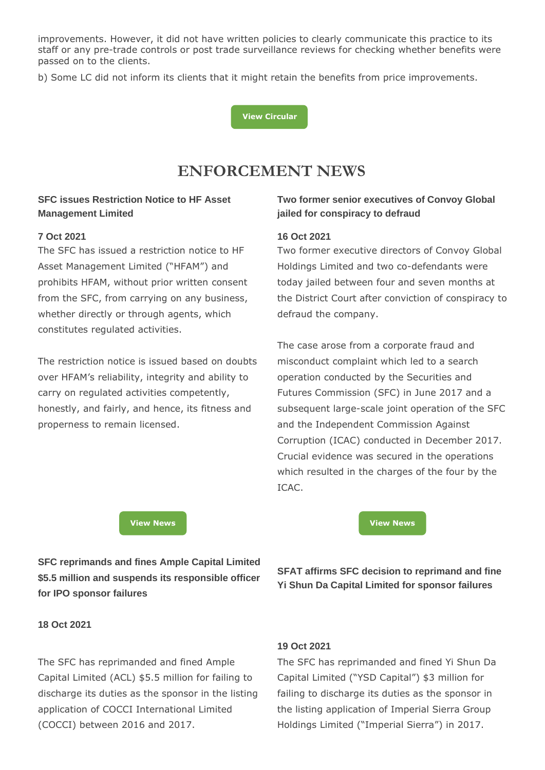improvements. However, it did not have written policies to clearly communicate this practice to its staff or any pre-trade controls or post trade surveillance reviews for checking whether benefits were passed on to the clients.

b) Some LC did not inform its clients that it might retain the benefits from price improvements.

**[View Circular](https://apps.sfc.hk/edistributionWeb/gateway/EN/circular/suitability/doc?refNo=21EC48)**

# **ENFORCEMENT NEWS**

## **SFC issues Restriction Notice to HF Asset Management Limited**

#### **7 Oct 2021**

The SFC has issued a restriction notice to HF Asset Management Limited ("HFAM") and prohibits HFAM, without prior written consent from the SFC, from carrying on any business, whether directly or through agents, which constitutes regulated activities.

The restriction notice is issued based on doubts over HFAM's reliability, integrity and ability to carry on regulated activities competently, honestly, and fairly, and hence, its fitness and properness to remain licensed.

## **Two former senior executives of Convoy Global jailed for conspiracy to defraud**

#### **16 Oct 2021**

Two former executive directors of Convoy Global Holdings Limited and two co-defendants were today jailed between four and seven months at the District Court after conviction of conspiracy to defraud the company.

The case arose from a corporate fraud and misconduct complaint which led to a search operation conducted by the Securities and Futures Commission (SFC) in June 2017 and a subsequent large-scale joint operation of the SFC and the Independent Commission Against Corruption (ICAC) conducted in December 2017. Crucial evidence was secured in the operations which resulted in the charges of the four by the ICAC.

**[View News](https://apps.sfc.hk/edistributionWeb/gateway/EN/news-and-announcements/news/doc?refNo=21PR98) [View News](https://apps.sfc.hk/edistributionWeb/gateway/EN/news-and-announcements/news/doc?refNo=21PR102)**

**SFC reprimands and fines Ample Capital Limited \$5.5 million and suspends its responsible officer for IPO sponsor failures**

**SFAT affirms SFC decision to reprimand and fine Yi Shun Da Capital Limited for sponsor failures**

**18 Oct 2021**

The SFC has reprimanded and fined Ample Capital Limited (ACL) \$5.5 million for failing to discharge its duties as the sponsor in the listing application of COCCI International Limited (COCCI) between 2016 and 2017.

#### **19 Oct 2021**

The SFC has reprimanded and fined Yi Shun Da Capital Limited ("YSD Capital") \$3 million for failing to discharge its duties as the sponsor in the listing application of Imperial Sierra Group Holdings Limited ("Imperial Sierra") in 2017.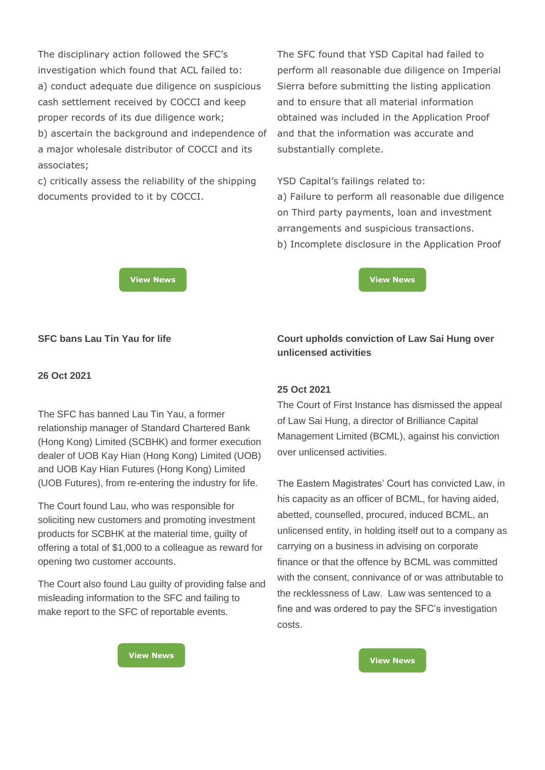The disciplinary action followed the SFC's investigation which found that ACL failed to: a) conduct adequate due diligence on suspicious cash settlement received by COCCI and keep proper records of its due diligence work; b) ascertain the background and independence of a major wholesale distributor of COCCI and its associates;

c) critically assess the reliability of the shipping documents provided to it by COCCI.

The SFC found that YSD Capital had failed to perform all reasonable due diligence on Imperial Sierra before submitting the listing application and to ensure that all material information obtained was included in the Application Proof and that the information was accurate and substantially complete.

YSD Capital's failings related to:

a) Failure to perform all reasonable due diligence on Third party payments, loan and investment arrangements and suspicious transactions. b) Incomplete disclosure in the Application Proof

**[View News](https://apps.sfc.hk/edistributionWeb/gateway/EN/news-and-announcements/news/doc?refNo=21PR103) [View News](https://apps.sfc.hk/edistributionWeb/gateway/EN/news-and-announcements/news/doc?refNo=21PR104)**

**Court upholds conviction of Law Sai Hung over** 

# **SFC bans Lau Tin Yau for life**

#### **26 Oct 2021**

The SFC has banned Lau Tin Yau, a former relationship manager of Standard Chartered Bank (Hong Kong) Limited (SCBHK) and former execution dealer of UOB Kay Hian (Hong Kong) Limited (UOB) and UOB Kay Hian Futures (Hong Kong) Limited (UOB Futures), from re-entering the industry for life.

The Court found Lau, who was responsible for soliciting new customers and promoting investment products for SCBHK at the material time, guilty of offering a total of \$1,000 to a colleague as reward for opening two customer accounts.

The Court also found Lau guilty of providing false and misleading information to the SFC and failing to make report to the SFC of reportable events.

# **25 Oct 2021**

**unlicensed activities** 

The Court of First Instance has dismissed the appeal of Law Sai Hung, a director of Brilliance Capital Management Limited (BCML), against his conviction over unlicensed activities.

The Eastern Magistrates' Court has convicted Law, in his capacity as an officer of BCML, for having aided, abetted, counselled, procured, induced BCML, an unlicensed entity, in holding itself out to a company as carrying on a business in advising on corporate finance or that the offence by BCML was committed with the consent, connivance of or was attributable to the recklessness of Law. Law was sentenced to a fine and was ordered to pay the SFC's investigation costs.

**[View News](https://apps.sfc.hk/edistributionWeb/gateway/EN/news-and-announcements/news/doc?refNo=21PR106) [View News](https://apps.sfc.hk/edistributionWeb/gateway/EN/news-and-announcements/news/doc?refNo=21PR105)**